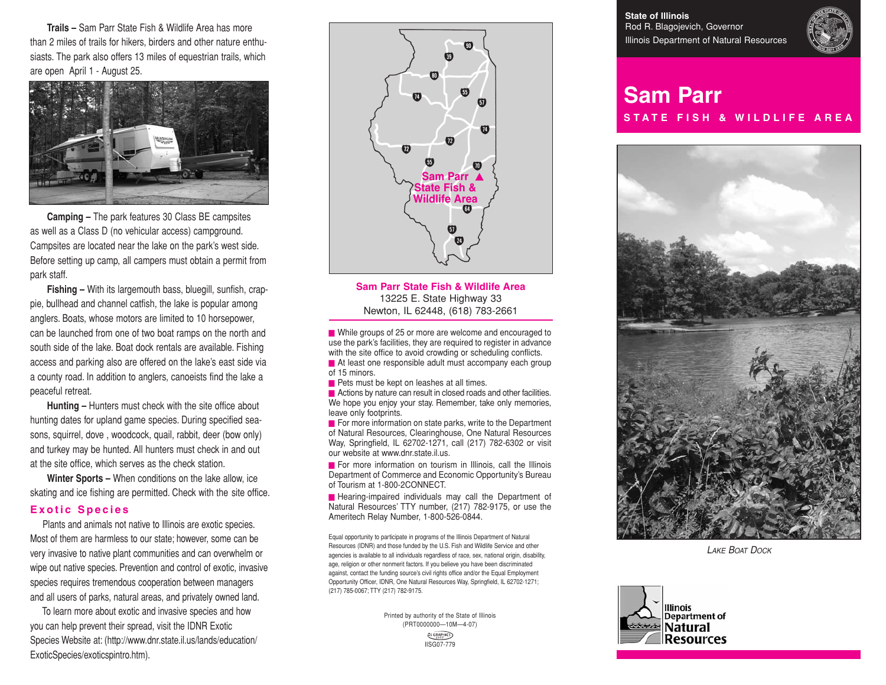**Trails –** Sam Parr State Fish & Wildlife Area has more than 2 miles of trails for hikers, birders and other nature enthusiasts. The park also offers 13 miles of equestrian trails, which are open April 1 - August 25.



**Camping –** The park features 30 Class BE campsites as well as a Class D (no vehicular access) campground. Campsites are located near the lake on the park's west side. Before setting up camp, all campers must obtain a permit from park staff.

**Fishing –** With its largemouth bass, bluegill, sunfish, crappie, bullhead and channel catfish, the lake is popular among anglers. Boats, whose motors are limited to 10 horsepower, can be launched from one of two boat ramps on the north and south side of the lake. Boat dock rentals are available. Fishing access and parking also are offered on the lake's east side via a county road. In addition to anglers, canoeists find the lake a peaceful retreat.

**Hunting –** Hunters must check with the site office about hunting dates for upland game species. During specified seasons, squirrel, dove , woodcock, quail, rabbit, deer (bow only) and turkey may be hunted. All hunters must check in and out at the site office, which serves as the check station.

**Winter Sports –** When conditions on the lake allow, ice skating and ice fishing are permitted. Check with the site office.

#### **Exotic Species**

Plants and animals not native to Illinois are exotic species. Most of them are harmless to our state; however, some can be very invasive to native plant communities and can overwhelm or wipe out native species. Prevention and control of exotic, invasive species requires tremendous cooperation between managers and all users of parks, natural areas, and privately owned land.

To learn more about exotic and invasive species and how you can help prevent their spread, visit the IDNR Exotic Species Website at: (http://www.dnr.state.il.us/lands/education/ ExoticSpecies/exoticspintro.htm).



**Sam Parr State Fish & Wildlife Area** 13225 E. State Highway 33 Newton, IL 62448, (618) 783-2661

■ While groups of 25 or more are welcome and encouraged to use the park's facilities, they are required to register in advance with the site office to avoid crowding or scheduling conflicts.

■ At least one responsible adult must accompany each group of 15 minors.

■ Pets must be kept on leashes at all times.

■ Actions by nature can result in closed roads and other facilities. We hope you enjoy your stay. Remember, take only memories, leave only footprints.

■ For more information on state parks, write to the Department of Natural Resources, Clearinghouse, One Natural Resources Way, Springfield, IL 62702-1271, call (217) 782-6302 or visit our website at www.dnr.state.il.us.

■ For more information on tourism in Illinois, call the Illinois Department of Commerce and Economic Opportunity's Bureau of Tourism at 1-800-2CONNECT.

■ Hearing-impaired individuals may call the Department of Natural Resources' TTY number, (217) 782-9175, or use the Ameritech Relay Number, 1-800-526-0844.

Equal opportunity to participate in programs of the Illinois Department of Natural Resources (IDNR) and those funded by the U.S. Fish and Wildlife Service and other agencies is available to all individuals regardless of race, sex, national origin, disability, age, religion or other nonmerit factors. If you believe you have been discriminated against, contact the funding source's civil rights office and/or the Equal Employment Opportunity Officer, IDNR, One Natural Resources Way, Springfield, IL 62702-1271; (217) 785-0067; TTY (217) 782-9175.

> Printed by authority of the State of Illinois (PRT0000000—10M—4-07) **LES GRAPHICS** IISG07-779

**State of Illinois** Rod R. Blagojevich, Governor Illinois Department of Natural Resources



# **Sam Parr S T A T E F I S H & W I L D L I F E A R E A**



*LAKE BOAT DOCK*